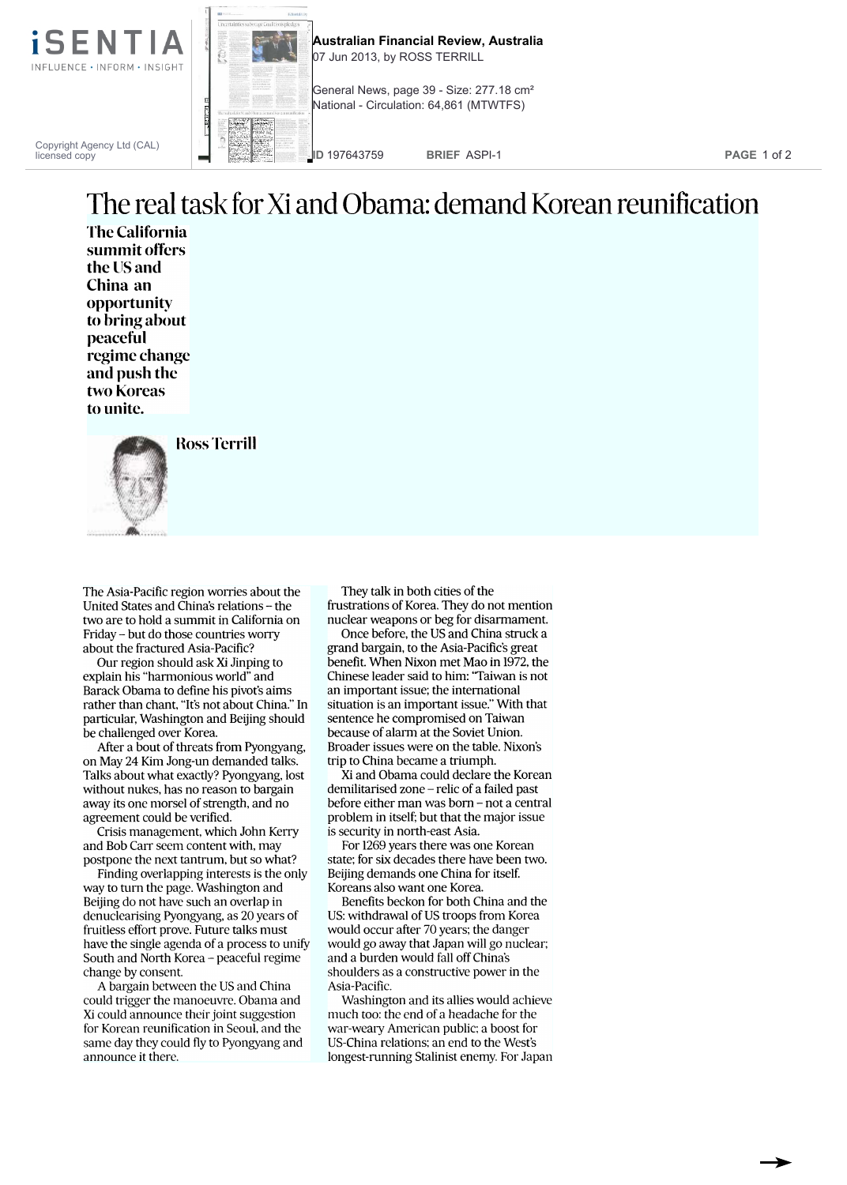

Copyright Agency Ltd (CAL) licensed copy



**Australian Financial Review, Australia** 07 Jun 2013, by ROSS TERRILL

General News, page 39 - Size: 277.18 cm<sup>2</sup> National - Circulation: 64,861 (MTWTFS)

**ID** 197643759 **BRIEF** ASPI-1 **PAGE** 1 of 2

## The real task for Xi and Obama: demand Korean reunification

The California summit offers the US and China an opportunity to bring about peaceful regime change and push the two Koreas to unite.



Ross Terrill

The Asia-Pacific region worries about the United States and China's relations - the two are to hold a summit in California on Friday - but do those countries worry about the fractured Asia-Pacific?

Our region should ask Xi Jinping to explain his "harmonious world" and Barack Obama to define his pivot's aims rather than chant, "It's not about China." In particular, Washington and Beijing should be challenged over Korea.

After a bout of threats from Pyongyang, on May 24 Kim Jong-un demanded talks. Talks about what exactly? Pyongyang, lost without nukes, has no reason to bargain away its one morsel of strength, and no agreement could be verified.

Crisis management, which John Kerry and Bob Carr seem content with, may postpone the next tantrum, but so what?

Finding overlapping interests is the only way to turn the page. Washington and Beijing do not have such an overlap in denuclearising Pyongyang, as 20 years of fruitless effort prove. Future talks must have the single agenda of a process to unify South and North Korea - peaceful regime change by consent.

A bargain between the US and China could trigger the manoeuvre. Obama and Xi could announce their joint suggestion for Korean reunification in Seoul, and the same day they could fly to Pyongyang and announce it there.

They talk in both cities of the frustrations of Korea. They do not mention nuclear weapons or beg for disarmament.

Once before, the US and China struck a grand bargain, to the Asia-Pacific's great benefit. When Nixon met Mao in 1972, the Chinese leader said to him: "Taiwan is not an important issue; the international situation is an important issue." With that sentence he compromised on Taiwan because of alarm at the Soviet Union. Broader issues were on the table. Nixon's trip to China became a triumph.

Xi and Obama could declare the Korean demilitarised zone - relic of a failed past before either man was born - not a central problem in itself; but that the major issue is security in north-east Asia.

For 1269 years there was one Korean state; for six decades there have been two. Beijing demands one China for itself. Koreans also want one Korea.

Benefits beckon for both China and the US: withdrawal of US troops from Korea would occur after 70 years; the danger would go away that Japan will go nuclear; and a burden would fall off China's shoulders as a constructive power in the Asia-Pacific.

Washington and its allies would achieve much too: the end of a headache for the war-weary American public; a boost for US-China relations; an end to the West's longest-running Stalinist enemy. For Japan